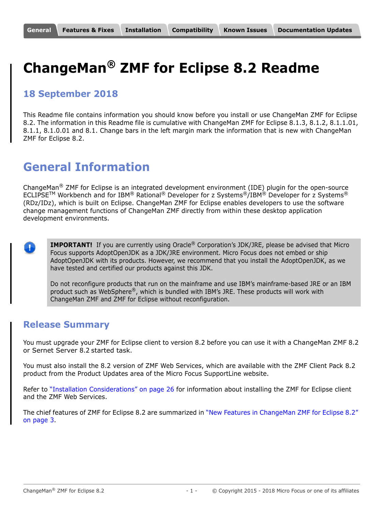# <span id="page-0-0"></span>**ChangeMan® ZMF for Eclipse 8.2 Readme**

## **18 September 2018**

This Readme file contains information you should know before you install or use ChangeMan ZMF for Eclipse 8.2. The information in this Readme file is cumulative with ChangeMan ZMF for Eclipse 8.1.3, 8.1.2, 8.1.1.01, 8.1.1, 8.1.0.01 and 8.1. Change bars in the left margin mark the information that is new with ChangeMan ZMF for Eclipse 8.2.

# **General Information**

ChangeMan<sup>®</sup> ZMF for Eclipse is an integrated development environment (IDE) plugin for the open-source  $ECLIPSE^{TM}$  Workbench and for IBM® Rational® Developer for z Systems®/IBM® Developer for z Systems® (RDz/IDz), which is built on Eclipse. ChangeMan ZMF for Eclipse enables developers to use the software change management functions of ChangeMan ZMF directly from within these desktop application development environments.



**IMPORTANT!** If you are currently using Oracle<sup>®</sup> Corporation's JDK/JRE, please be advised that Micro Focus supports AdoptOpenJDK as a JDK/JRE environment. Micro Focus does not embed or ship AdoptOpenJDK with its products. However, we recommend that you install the AdoptOpenJDK, as we have tested and certified our products against this JDK.

Do not reconfigure products that run on the mainframe and use IBM's mainframe-based JRE or an IBM product such as WebSphere®, which is bundled with IBM's JRE. These products will work with ChangeMan ZMF and ZMF for Eclipse without reconfiguration.

### **Release Summary**

You must upgrade your ZMF for Eclipse client to version 8.2 before you can use it with a ChangeMan ZMF 8.2 or Sernet Server 8.2 started task.

You must also install the 8.2 version of ZMF Web Services, which are available with the ZMF Client Pack 8.2 product from the Product Updates area of the Micro Focus SupportLine website.

Refer to ["Installation Considerations" on page 26](#page-25-1) for information about installing the ZMF for Eclipse client and the ZMF Web Services.

The chief features of ZMF for Eclipse 8.2 are summarized in ["New Features in ChangeMan ZMF for Eclipse 8.2"](#page-2-1)  [on page 3.](#page-2-1)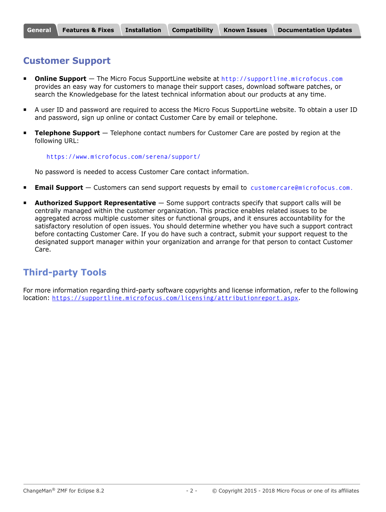# <span id="page-1-0"></span>**Customer Support**

- **Online Support** The Micro Focus SupportLine website at [http://supportline.microfocus.com](https://supportline.microfocus.com/) provides an easy way for customers to manage their support cases, download software patches, or search the Knowledgebase for the latest technical information about our products at any time.
- A user ID and password are required to access the Micro Focus SupportLine website. To obtain a user ID and password, sign up online or contact Customer Care by email or telephone.
- **Telephone Support** Telephone contact numbers for Customer Care are posted by region at the following URL:

#### <https://www.microfocus.com/serena/support/>

No password is needed to access Customer Care contact information.

- **Email Support** Customers can send support requests by email to [customercare@microfocus.com.](mailto:customercare@microfocus.com )
- **Authorized Support Representative** Some support contracts specify that support calls will be centrally managed within the customer organization. This practice enables related issues to be aggregated across multiple customer sites or functional groups, and it ensures accountability for the satisfactory resolution of open issues. You should determine whether you have such a support contract before contacting Customer Care. If you do have such a contract, submit your support request to the designated support manager within your organization and arrange for that person to contact Customer Care.

# **Third-party Tools**

For more information regarding third-party software copyrights and license information, refer to the following location: <https://supportline.microfocus.com/licensing/attributionreport.aspx>.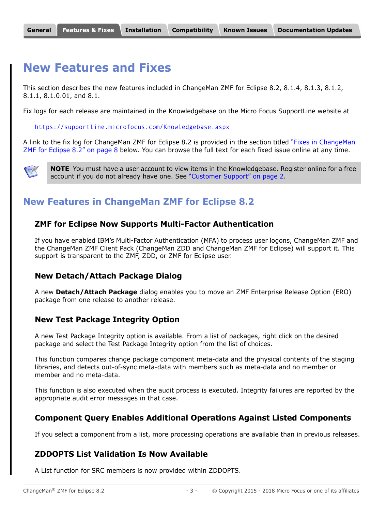# <span id="page-2-0"></span>**New Features and Fixes**

This section describes the new features included in ChangeMan ZMF for Eclipse 8.2, 8.1.4, 8.1.3, 8.1.2, 8.1.1, 8.1.0.01, and 8.1.

Fix logs for each release are maintained in the Knowledgebase on the Micro Focus SupportLine website at

<https://supportline.microfocus.com/Knowledgebase.aspx>

A link to the fix log for ChangeMan ZMF for Eclipse 8.2 is provided in the section titled ["Fixes in ChangeMan](#page-7-0)  [ZMF for Eclipse 8.2" on page 8](#page-7-0) below. You can browse the full text for each fixed issue online at any time.



**NOTE** You must have a user account to view items in the Knowledgebase. Register online for a free account if you do not already have one. See ["Customer Support" on page 2.](#page-1-0)

# <span id="page-2-1"></span>**New Features in ChangeMan ZMF for Eclipse 8.2**

#### **ZMF for Eclipse Now Supports Multi-Factor Authentication**

If you have enabled IBM's Multi-Factor Authentication (MFA) to process user logons, ChangeMan ZMF and the ChangeMan ZMF Client Pack (ChangeMan ZDD and ChangeMan ZMF for Eclipse) will support it. This support is transparent to the ZMF, ZDD, or ZMF for Eclipse user.

#### **New Detach/Attach Package Dialog**

A new **Detach/Attach Package** dialog enables you to move an ZMF Enterprise Release Option (ERO) package from one release to another release.

#### **New Test Package Integrity Option**

A new Test Package Integrity option is available. From a list of packages, right click on the desired package and select the Test Package Integrity option from the list of choices.

This function compares change package component meta-data and the physical contents of the staging libraries, and detects out-of-sync meta-data with members such as meta-data and no member or member and no meta-data.

This function is also executed when the audit process is executed. Integrity failures are reported by the appropriate audit error messages in that case.

#### **Component Query Enables Additional Operations Against Listed Components**

If you select a component from a list, more processing operations are available than in previous releases.

#### **ZDDOPTS List Validation Is Now Available**

A List function for SRC members is now provided within ZDDOPTS.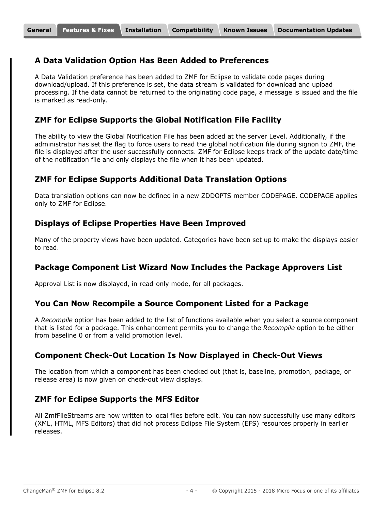#### **A Data Validation Option Has Been Added to Preferences**

A Data Validation preference has been added to ZMF for Eclipse to validate code pages during download/upload. If this preference is set, the data stream is validated for download and upload processing. If the data cannot be returned to the originating code page, a message is issued and the file is marked as read-only.

#### **ZMF for Eclipse Supports the Global Notification File Facility**

The ability to view the Global Notification File has been added at the server Level. Additionally, if the administrator has set the flag to force users to read the global notification file during signon to ZMF, the file is displayed after the user successfully connects. ZMF for Eclipse keeps track of the update date/time of the notification file and only displays the file when it has been updated.

#### **ZMF for Eclipse Supports Additional Data Translation Options**

Data translation options can now be defined in a new ZDDOPTS member CODEPAGE. CODEPAGE applies only to ZMF for Eclipse.

#### **Displays of Eclipse Properties Have Been Improved**

Many of the property views have been updated. Categories have been set up to make the displays easier to read.

#### **Package Component List Wizard Now Includes the Package Approvers List**

Approval List is now displayed, in read-only mode, for all packages.

#### **You Can Now Recompile a Source Component Listed for a Package**

A *Recompile* option has been added to the list of functions available when you select a source component that is listed for a package. This enhancement permits you to change the *Recompile* option to be either from baseline 0 or from a valid promotion level.

#### **Component Check-Out Location Is Now Displayed in Check-Out Views**

The location from which a component has been checked out (that is, baseline, promotion, package, or release area) is now given on check-out view displays.

#### **ZMF for Eclipse Supports the MFS Editor**

All ZmfFileStreams are now written to local files before edit. You can now successfully use many editors (XML, HTML, MFS Editors) that did not process Eclipse File System (EFS) resources properly in earlier releases.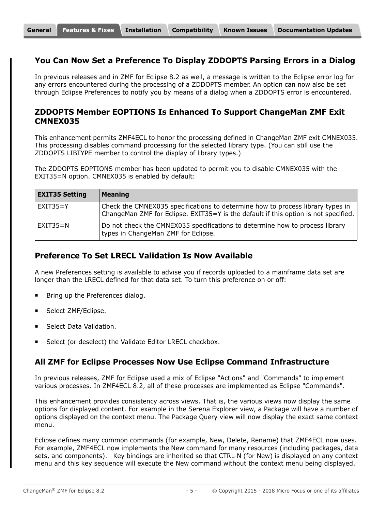#### **You Can Now Set a Preference To Display ZDDOPTS Parsing Errors in a Dialog**

In previous releases and in ZMF for Eclipse 8.2 as well, a message is written to the Eclipse error log for any errors encountered during the processing of a ZDDOPTS member. An option can now also be set through Eclipse Preferences to notify you by means of a dialog when a ZDDOPTS error is encountered.

#### **ZDDOPTS Member EOPTIONS Is Enhanced To Support ChangeMan ZMF Exit CMNEX035**

This enhancement permits ZMF4ECL to honor the processing defined in ChangeMan ZMF exit CMNEX035. This processing disables command processing for the selected library type. (You can still use the ZDDOPTS LIBTYPE member to control the display of library types.)

The ZDDOPTS EOPTIONS member has been updated to permit you to disable CMNEX035 with the EXIT35=N option. CMNEX035 is enabled by default:

| <b>EXIT35 Setting</b> | <b>Meaning</b>                                                                                                                                                        |
|-----------------------|-----------------------------------------------------------------------------------------------------------------------------------------------------------------------|
| $EXIT35 = Y$          | Check the CMNEX035 specifications to determine how to process library types in<br>ChangeMan ZMF for Eclipse. EXIT35=Y is the default if this option is not specified. |
| $EXIT35=N$            | Do not check the CMNEX035 specifications to determine how to process library<br>types in ChangeMan ZMF for Eclipse.                                                   |

#### **Preference To Set LRECL Validation Is Now Available**

A new Preferences setting is available to advise you if records uploaded to a mainframe data set are longer than the LRECL defined for that data set. To turn this preference on or off:

- Bring up the Preferences dialog.
- Select ZMF/Eclipse.
- Select Data Validation.
- Select (or deselect) the Validate Editor LRECL checkbox.

#### **All ZMF for Eclipse Processes Now Use Eclipse Command Infrastructure**

In previous releases, ZMF for Eclipse used a mix of Eclipse "Actions" and "Commands" to implement various processes. In ZMF4ECL 8.2, all of these processes are implemented as Eclipse "Commands".

This enhancement provides consistency across views. That is, the various views now display the same options for displayed content. For example in the Serena Explorer view, a Package will have a number of options displayed on the context menu. The Package Query view will now display the exact same context menu.

Eclipse defines many common commands (for example, New, Delete, Rename) that ZMF4ECL now uses. For example, ZMF4ECL now implements the New command for many resources (including packages, data sets, and components). Key bindings are inherited so that CTRL-N (for New) is displayed on any context menu and this key sequence will execute the New command without the context menu being displayed.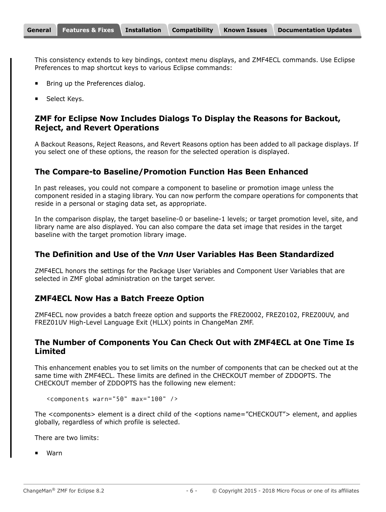This consistency extends to key bindings, context menu displays, and ZMF4ECL commands. Use Eclipse Preferences to map shortcut keys to various Eclipse commands:

- Bring up the Preferences dialog.
- Select Keys.

#### **ZMF for Eclipse Now Includes Dialogs To Display the Reasons for Backout, Reject, and Revert Operations**

A Backout Reasons, Reject Reasons, and Revert Reasons option has been added to all package displays. If you select one of these options, the reason for the selected operation is displayed.

#### **The Compare-to Baseline/Promotion Function Has Been Enhanced**

In past releases, you could not compare a component to baseline or promotion image unless the component resided in a staging library. You can now perform the compare operations for components that reside in a personal or staging data set, as appropriate.

In the comparison display, the target baseline-0 or baseline-1 levels; or target promotion level, site, and library name are also displayed. You can also compare the data set image that resides in the target baseline with the target promotion library image.

#### **The Definition and Use of the V***nn* **User Variables Has Been Standardized**

ZMF4ECL honors the settings for the Package User Variables and Component User Variables that are selected in ZMF global administration on the target server.

#### **ZMF4ECL Now Has a Batch Freeze Option**

ZMF4ECL now provides a batch freeze option and supports the FREZ0002, FREZ0102, FREZ00UV, and FREZ01UV High-Level Language Exit (HLLX) points in ChangeMan ZMF.

#### **The Number of Components You Can Check Out with ZMF4ECL at One Time Is Limited**

This enhancement enables you to set limits on the number of components that can be checked out at the same time with ZMF4ECL. These limits are defined in the CHECKOUT member of ZDDOPTS. The CHECKOUT member of ZDDOPTS has the following new element:

```
<components warn="50" max="100" />
```
The <components> element is a direct child of the <options name="CHECKOUT"> element, and applies globally, regardless of which profile is selected.

There are two limits:

Warn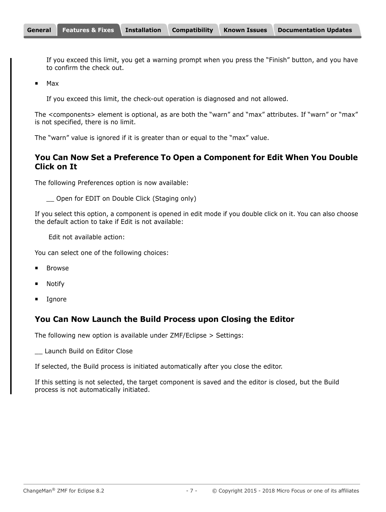If you exceed this limit, you get a warning prompt when you press the "Finish" button, and you have to confirm the check out.

■ Max

If you exceed this limit, the check-out operation is diagnosed and not allowed.

The <components> element is optional, as are both the "warn" and "max" attributes. If "warn" or "max" is not specified, there is no limit.

The "warn" value is ignored if it is greater than or equal to the "max" value.

#### **You Can Now Set a Preference To Open a Component for Edit When You Double Click on It**

The following Preferences option is now available:

\_\_ Open for EDIT on Double Click (Staging only)

If you select this option, a component is opened in edit mode if you double click on it. You can also choose the default action to take if Edit is not available:

Edit not available action:

You can select one of the following choices:

- Browse
- Notify
- Ignore

#### **You Can Now Launch the Build Process upon Closing the Editor**

The following new option is available under ZMF/Eclipse > Settings:

\_\_ Launch Build on Editor Close

If selected, the Build process is initiated automatically after you close the editor.

If this setting is not selected, the target component is saved and the editor is closed, but the Build process is not automatically initiated.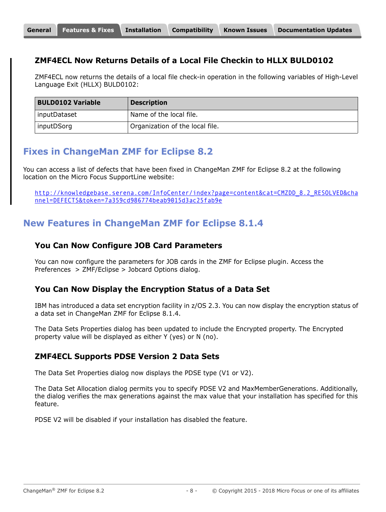### **ZMF4ECL Now Returns Details of a Local File Checkin to HLLX BULD0102**

ZMF4ECL now returns the details of a local file check-in operation in the following variables of High-Level Language Exit (HLLX) BULD0102:

| <b>BULD0102 Variable</b> | <b>Description</b>              |
|--------------------------|---------------------------------|
| inputDataset             | Name of the local file.         |
| inputDSorg               | Organization of the local file. |

# <span id="page-7-0"></span>**Fixes in ChangeMan ZMF for Eclipse 8.2**

You can access a list of defects that have been fixed in ChangeMan ZMF for Eclipse 8.2 at the following location on the Micro Focus SupportLine website:

[http://knowledgebase.serena.com/InfoCenter/index?page=content&cat=CMZDD\\_8.2\\_RESOLVED&cha](http://knowledgebase.serena.com/InfoCenter/index?page=content&cat=CMZDD_8.2_RESOLVED&channel=DEFECTS&token=7a359cd986774beab9015d3ac25fab9e) nnel=DEFECTS&token=7a359cd986774beab9015d3ac25fab9e

# **New Features in ChangeMan ZMF for Eclipse 8.1.4**

#### **You Can Now Configure JOB Card Parameters**

You can now configure the parameters for JOB cards in the ZMF for Eclipse plugin. Access the Preferences > ZMF/Eclipse > Jobcard Options dialog.

#### **You Can Now Display the Encryption Status of a Data Set**

IBM has introduced a data set encryption facility in z/OS 2.3. You can now display the encryption status of a data set in ChangeMan ZMF for Eclipse 8.1.4.

The Data Sets Properties dialog has been updated to include the Encrypted property. The Encrypted property value will be displayed as either Y (yes) or N (no).

#### **ZMF4ECL Supports PDSE Version 2 Data Sets**

The Data Set Properties dialog now displays the PDSE type (V1 or V2).

The Data Set Allocation dialog permits you to specify PDSE V2 and MaxMemberGenerations. Additionally, the dialog verifies the max generations against the max value that your installation has specified for this feature.

PDSE V2 will be disabled if your installation has disabled the feature.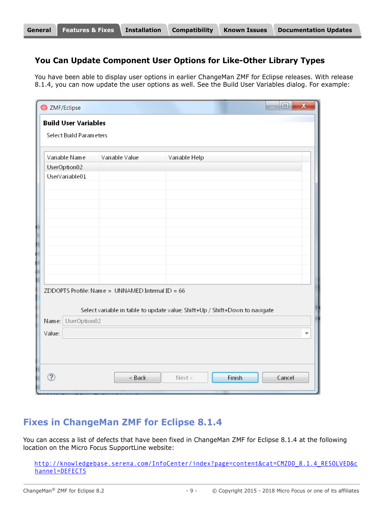#### **You Can Update Component User Options for Like-Other Library Types**

You have been able to display user options in earlier ChangeMan ZMF for Eclipse releases. With release 8.1.4, you can now update the user options as well. See the Build User Variables dialog. For example:

| <b>S</b> ZMF/Eclipse<br><b>Build User Variables</b> |                                                    | $\overline{\mathbf{x}}$<br>$\Box$                                           |
|-----------------------------------------------------|----------------------------------------------------|-----------------------------------------------------------------------------|
| Select Build Parameters                             |                                                    |                                                                             |
| Variable Name                                       | Variable Value                                     | Variable Help                                                               |
| UserOption02                                        |                                                    |                                                                             |
| UserVariable01                                      |                                                    |                                                                             |
|                                                     |                                                    |                                                                             |
|                                                     |                                                    |                                                                             |
|                                                     |                                                    |                                                                             |
|                                                     |                                                    |                                                                             |
|                                                     |                                                    |                                                                             |
|                                                     |                                                    |                                                                             |
|                                                     |                                                    |                                                                             |
|                                                     |                                                    |                                                                             |
|                                                     |                                                    |                                                                             |
|                                                     |                                                    |                                                                             |
|                                                     | ZDDOPTS Profile: Name = UNNAMED Internal ID = $66$ |                                                                             |
|                                                     |                                                    | Select variable in table to update value; Shift+Up / Shift+Down to navigate |
| Name: UserOption02                                  |                                                    |                                                                             |
| Value:                                              |                                                    |                                                                             |
|                                                     |                                                    |                                                                             |
|                                                     |                                                    |                                                                             |
|                                                     |                                                    |                                                                             |
| ?                                                   |                                                    |                                                                             |
|                                                     | < Back                                             | Finish<br>Cancel<br>Next                                                    |

## **Fixes in ChangeMan ZMF for Eclipse 8.1.4**

You can access a list of defects that have been fixed in ChangeMan ZMF for Eclipse 8.1.4 at the following location on the Micro Focus SupportLine website:

[http://knowledgebase.serena.com/InfoCenter/index?page=content&cat=CMZDD\\_8.1.4\\_RESOLVED&c](http://knowledgebase.serena.com/InfoCenter/index?page=content&cat=CMZDD_8.1.4_RESOLVED&channel=DEFECTS) [hannel=DEFECTS](http://knowledgebase.serena.com/InfoCenter/index?page=content&cat=CMZDD_8.1.4_RESOLVED&channel=DEFECTS)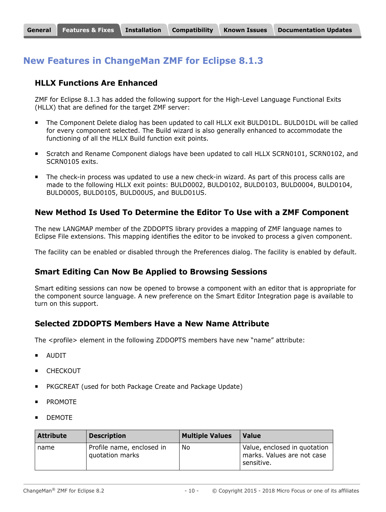# **New Features in ChangeMan ZMF for Eclipse 8.1.3**

#### **HLLX Functions Are Enhanced**

ZMF for Eclipse 8.1.3 has added the following support for the High-Level Language Functional Exits (HLLX) that are defined for the target ZMF server:

- The Component Delete dialog has been updated to call HLLX exit BULD01DL. BULD01DL will be called for every component selected. The Build wizard is also generally enhanced to accommodate the functioning of all the HLLX Build function exit points.
- Scratch and Rename Component dialogs have been updated to call HLLX SCRN0101, SCRN0102, and SCRN0105 exits.
- **The check-in process was updated to use a new check-in wizard. As part of this process calls are** made to the following HLLX exit points: BULD0002, BULD0102, BULD0103, BULD0004, BULD0104, BULD0005, BULD0105, BULD00US, and BULD01US.

#### **New Method Is Used To Determine the Editor To Use with a ZMF Component**

The new LANGMAP member of the ZDDOPTS library provides a mapping of ZMF language names to Eclipse File extensions. This mapping identifies the editor to be invoked to process a given component.

The facility can be enabled or disabled through the Preferences dialog. The facility is enabled by default.

#### **Smart Editing Can Now Be Applied to Browsing Sessions**

Smart editing sessions can now be opened to browse a component with an editor that is appropriate for the component source language. A new preference on the Smart Editor Integration page is available to turn on this support.

#### **Selected ZDDOPTS Members Have a New Name Attribute**

The <profile> element in the following ZDDOPTS members have new "name" attribute:

- AUDIT
- CHECKOUT
- PKGCREAT (used for both Package Create and Package Update)
- PROMOTE
- DEMOTE

| <b>Attribute</b> | <b>Description</b>                           | <b>Multiple Values</b> | <b>Value</b>                                                             |
|------------------|----------------------------------------------|------------------------|--------------------------------------------------------------------------|
| name             | Profile name, enclosed in<br>quotation marks | No                     | Value, enclosed in quotation<br>marks. Values are not case<br>sensitive. |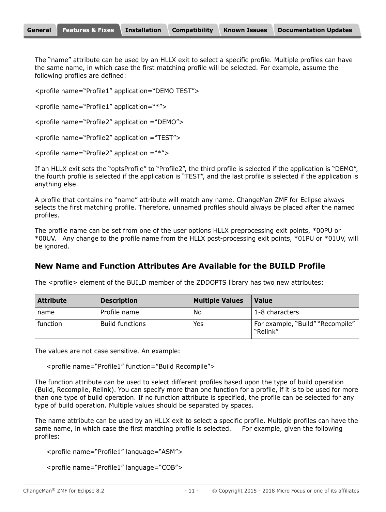The "name" attribute can be used by an HLLX exit to select a specific profile. Multiple profiles can have the same name, in which case the first matching profile will be selected. For example, assume the following profiles are defined:

<profile name="Profile1" application="DEMO TEST">

<profile name="Profile1" application="\*">

<profile name="Profile2" application ="DEMO">

<profile name="Profile2" application ="TEST">

<profile name="Profile2" application ="\*">

If an HLLX exit sets the "optsProfile" to "Profile2", the third profile is selected if the application is "DEMO", the fourth profile is selected if the application is "TEST", and the last profile is selected if the application is anything else.

A profile that contains no "name" attribute will match any name. ChangeMan ZMF for Eclipse always selects the first matching profile. Therefore, unnamed profiles should always be placed after the named profiles.

The profile name can be set from one of the user options HLLX preprocessing exit points, \*00PU or \*00UV. Any change to the profile name from the HLLX post-processing exit points, \*01PU or \*01UV, will be ignored.

#### **New Name and Function Attributes Are Available for the BUILD Profile**

The <profile> element of the BUILD member of the ZDDOPTS library has two new attributes:

| <b>Attribute</b> | <b>Description</b>     | <b>Multiple Values</b> | <b>Value</b>                                 |
|------------------|------------------------|------------------------|----------------------------------------------|
| name             | Profile name           | No                     | 1-8 characters                               |
| function         | <b>Build functions</b> | Yes                    | For example, "Build" "Recompile"<br>"Relink" |

The values are not case sensitive. An example:

<profile name="Profile1" function="Build Recompile">

The function attribute can be used to select different profiles based upon the type of build operation (Build, Recompile, Relink). You can specify more than one function for a profile, if it is to be used for more than one type of build operation. If no function attribute is specified, the profile can be selected for any type of build operation. Multiple values should be separated by spaces.

The name attribute can be used by an HLLX exit to select a specific profile. Multiple profiles can have the same name, in which case the first matching profile is selected. For example, given the following profiles:

```
<profile name="Profile1" language="ASM">
```

```
<profile name="Profile1" language="COB">
```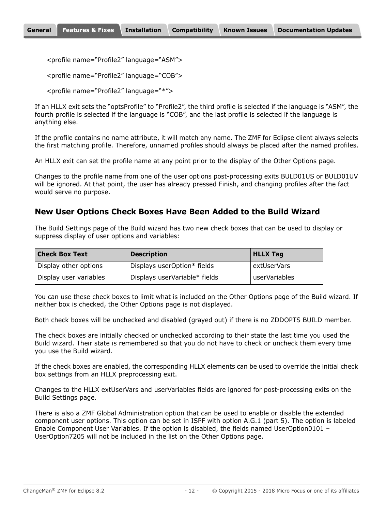<profile name="Profile2" language="ASM">

```
<profile name="Profile2" language="COB">
```

```
<profile name="Profile2" language="*">
```
If an HLLX exit sets the "optsProfile" to "Profile2", the third profile is selected if the language is "ASM", the fourth profile is selected if the language is "COB", and the last profile is selected if the language is anything else.

If the profile contains no name attribute, it will match any name. The ZMF for Eclipse client always selects the first matching profile. Therefore, unnamed profiles should always be placed after the named profiles.

An HLLX exit can set the profile name at any point prior to the display of the Other Options page.

Changes to the profile name from one of the user options post-processing exits BULD01US or BULD01UV will be ignored. At that point, the user has already pressed Finish, and changing profiles after the fact would serve no purpose.

#### **New User Options Check Boxes Have Been Added to the Build Wizard**

The Build Settings page of the Build wizard has two new check boxes that can be used to display or suppress display of user options and variables:

| <b>Check Box Text</b>  | <b>Description</b>            | <b>HLLX Tag</b> |
|------------------------|-------------------------------|-----------------|
| Display other options  | Displays userOption* fields   | extUserVars     |
| Display user variables | Displays userVariable* fields | userVariables   |

You can use these check boxes to limit what is included on the Other Options page of the Build wizard. If neither box is checked, the Other Options page is not displayed.

Both check boxes will be unchecked and disabled (grayed out) if there is no ZDDOPTS BUILD member.

The check boxes are initially checked or unchecked according to their state the last time you used the Build wizard. Their state is remembered so that you do not have to check or uncheck them every time you use the Build wizard.

If the check boxes are enabled, the corresponding HLLX elements can be used to override the initial check box settings from an HLLX preprocessing exit.

Changes to the HLLX extUserVars and userVariables fields are ignored for post-processing exits on the Build Settings page.

There is also a ZMF Global Administration option that can be used to enable or disable the extended component user options. This option can be set in ISPF with option A.G.1 (part 5). The option is labeled Enable Component User Variables. If the option is disabled, the fields named UserOption0101 – UserOption7205 will not be included in the list on the Other Options page.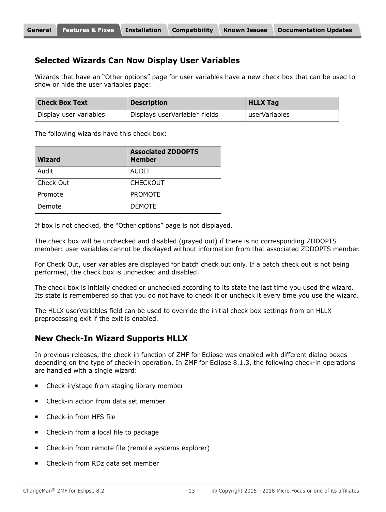#### **Selected Wizards Can Now Display User Variables**

Wizards that have an "Other options" page for user variables have a new check box that can be used to show or hide the user variables page:

| <b>Check Box Text</b>  | <b>Description</b>            | <b>HLLX Tag</b> |
|------------------------|-------------------------------|-----------------|
| Display user variables | Displays userVariable* fields | userVariables   |

The following wizards have this check box:

| <b>Wizard</b> | <b>Associated ZDDOPTS</b><br><b>Member</b> |
|---------------|--------------------------------------------|
| Audit         | AUDIT                                      |
| Check Out     | <b>CHECKOUT</b>                            |
| Promote       | <b>PROMOTE</b>                             |
| Demote        | <b>DEMOTE</b>                              |

If box is not checked, the "Other options" page is not displayed.

The check box will be unchecked and disabled (grayed out) if there is no corresponding ZDDOPTS member: user variables cannot be displayed without information from that associated ZDDOPTS member.

For Check Out, user variables are displayed for batch check out only. If a batch check out is not being performed, the check box is unchecked and disabled.

The check box is initially checked or unchecked according to its state the last time you used the wizard. Its state is remembered so that you do not have to check it or uncheck it every time you use the wizard.

The HLLX userVariables field can be used to override the initial check box settings from an HLLX preprocessing exit if the exit is enabled.

#### **New Check-In Wizard Supports HLLX**

In previous releases, the check-in function of ZMF for Eclipse was enabled with different dialog boxes depending on the type of check-in operation. In ZMF for Eclipse 8.1.3, the following check-in operations are handled with a single wizard:

- Check-in/stage from staging library member
- Check-in action from data set member
- Check-in from HFS file
- Check-in from a local file to package
- **EXEC** Check-in from remote file (remote systems explorer)
- Check-in from RDz data set member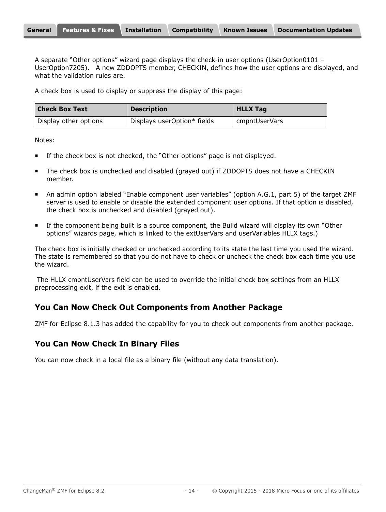| <b>General</b> Features & Fixes Installation<br><b>Compatibility</b><br><b>Documentation Updates</b><br><b>Known Issues</b> |
|-----------------------------------------------------------------------------------------------------------------------------|
|-----------------------------------------------------------------------------------------------------------------------------|

A separate "Other options" wizard page displays the check-in user options (UserOption0101 -UserOption7205). A new ZDDOPTS member, CHECKIN, defines how the user options are displayed, and what the validation rules are.

A check box is used to display or suppress the display of this page:

| <b>Check Box Text</b> | <b>Description</b>          | <b>HLLX Tag</b> |
|-----------------------|-----------------------------|-----------------|
| Display other options | Displays userOption* fields | cmpntUserVars   |

Notes:

- If the check box is not checked, the "Other options" page is not displayed.
- The check box is unchecked and disabled (grayed out) if ZDDOPTS does not have a CHECKIN member.
- An admin option labeled "Enable component user variables" (option A.G.1, part 5) of the target ZMF server is used to enable or disable the extended component user options. If that option is disabled, the check box is unchecked and disabled (grayed out).
- If the component being built is a source component, the Build wizard will display its own "Other options" wizards page, which is linked to the extUserVars and userVariables HLLX tags.)

The check box is initially checked or unchecked according to its state the last time you used the wizard. The state is remembered so that you do not have to check or uncheck the check box each time you use the wizard.

 The HLLX cmpntUserVars field can be used to override the initial check box settings from an HLLX preprocessing exit, if the exit is enabled.

## **You Can Now Check Out Components from Another Package**

ZMF for Eclipse 8.1.3 has added the capability for you to check out components from another package.

### **You Can Now Check In Binary Files**

You can now check in a local file as a binary file (without any data translation).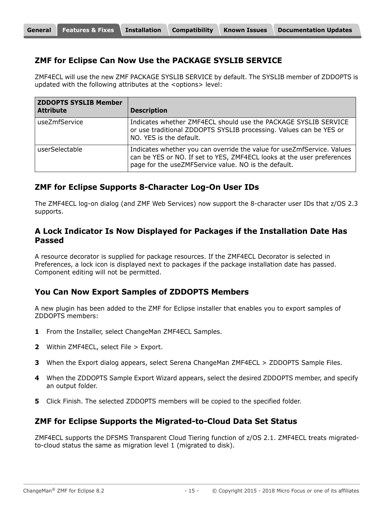#### **ZMF for Eclipse Can Now Use the PACKAGE SYSLIB SERVICE**

ZMF4ECL will use the new ZMF PACKAGE SYSLIB SERVICE by default. The SYSLIB member of ZDDOPTS is updated with the following attributes at the <options> level:

| <b>ZDDOPTS SYSLIB Member</b><br><b>Attribute</b> | <b>Description</b>                                                                                                                                                                                       |
|--------------------------------------------------|----------------------------------------------------------------------------------------------------------------------------------------------------------------------------------------------------------|
| useZmfService                                    | Indicates whether ZMF4ECL should use the PACKAGE SYSLIB SERVICE<br>or use traditional ZDDOPTS SYSLIB processing. Values can be YES or<br>NO. YES is the default.                                         |
| userSelectable                                   | Indicates whether you can override the value for useZmfService. Values<br>can be YES or NO. If set to YES, ZMF4ECL looks at the user preferences<br>page for the useZMFService value. NO is the default. |

#### **ZMF for Eclipse Supports 8-Character Log-On User IDs**

The ZMF4ECL log-on dialog (and ZMF Web Services) now support the 8-character user IDs that z/OS 2.3 supports.

#### **A Lock Indicator Is Now Displayed for Packages if the Installation Date Has Passed**

A resource decorator is supplied for package resources. If the ZMF4ECL Decorator is selected in Preferences, a lock icon is displayed next to packages if the package installation date has passed. Component editing will not be permitted.

#### **You Can Now Export Samples of ZDDOPTS Members**

A new plugin has been added to the ZMF for Eclipse installer that enables you to export samples of ZDDOPTS members:

- **1** From the Installer, select ChangeMan ZMF4ECL Samples.
- **2** Within ZMF4ECL, select File > Export.
- **3** When the Export dialog appears, select Serena ChangeMan ZMF4ECL > ZDDOPTS Sample Files.
- **4** When the ZDDOPTS Sample Export Wizard appears, select the desired ZDDOPTS member, and specify an output folder.
- **5** Click Finish. The selected ZDDOPTS members will be copied to the specified folder.

#### **ZMF for Eclipse Supports the Migrated-to-Cloud Data Set Status**

ZMF4ECL supports the DFSMS Transparent Cloud Tiering function of z/OS 2.1. ZMF4ECL treats migratedto-cloud status the same as migration level 1 (migrated to disk).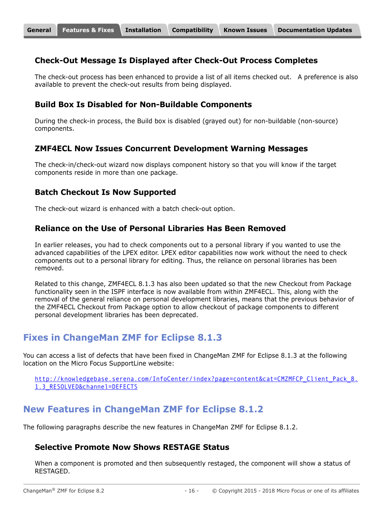#### **Check-Out Message Is Displayed after Check-Out Process Completes**

The check-out process has been enhanced to provide a list of all items checked out. A preference is also available to prevent the check-out results from being displayed.

#### **Build Box Is Disabled for Non-Buildable Components**

During the check-in process, the Build box is disabled (grayed out) for non-buildable (non-source) components.

#### **ZMF4ECL Now Issues Concurrent Development Warning Messages**

The check-in/check-out wizard now displays component history so that you will know if the target components reside in more than one package.

#### **Batch Checkout Is Now Supported**

The check-out wizard is enhanced with a batch check-out option.

#### **Reliance on the Use of Personal Libraries Has Been Removed**

In earlier releases, you had to check components out to a personal library if you wanted to use the advanced capabilities of the LPEX editor. LPEX editor capabilities now work without the need to check components out to a personal library for editing. Thus, the reliance on personal libraries has been removed.

Related to this change, ZMF4ECL 8.1.3 has also been updated so that the new Checkout from Package functionality seen in the ISPF interface is now available from within ZMF4ECL. This, along with the removal of the general reliance on personal development libraries, means that the previous behavior of the ZMF4ECL Checkout from Package option to allow checkout of package components to different personal development libraries has been deprecated.

## **Fixes in ChangeMan ZMF for Eclipse 8.1.3**

You can access a list of defects that have been fixed in ChangeMan ZMF for Eclipse 8.1.3 at the following location on the Micro Focus SupportLine website:

[http://knowledgebase.serena.com/InfoCenter/index?page=content&cat=CMZMFCP\\_Client\\_Pack\\_8.](http://knowledgebase.serena.com/InfoCenter/index?page=content&cat=CMZMFCP_Client_Pack_8.1.3_RESOLVED&channel=DEFECTS) 1.3\_RESOLVED&channel=DEFECTS

# **New Features in ChangeMan ZMF for Eclipse 8.1.2**

The following paragraphs describe the new features in ChangeMan ZMF for Eclipse 8.1.2.

#### **Selective Promote Now Shows RESTAGE Status**

When a component is promoted and then subsequently restaged, the component will show a status of RESTAGED.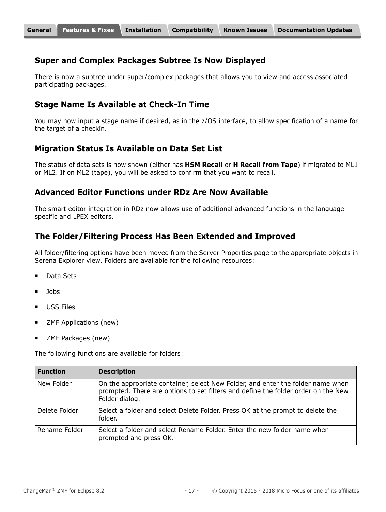#### **Super and Complex Packages Subtree Is Now Displayed**

There is now a subtree under super/complex packages that allows you to view and access associated participating packages.

#### **Stage Name Is Available at Check-In Time**

You may now input a stage name if desired, as in the z/OS interface, to allow specification of a name for the target of a checkin.

#### **Migration Status Is Available on Data Set List**

The status of data sets is now shown (either has **HSM Recall** or **H Recall from Tape**) if migrated to ML1 or ML2. If on ML2 (tape), you will be asked to confirm that you want to recall.

#### **Advanced Editor Functions under RDz Are Now Available**

The smart editor integration in RDz now allows use of additional advanced functions in the languagespecific and LPEX editors.

#### **The Folder/Filtering Process Has Been Extended and Improved**

All folder/filtering options have been moved from the Server Properties page to the appropriate objects in Serena Explorer view. Folders are available for the following resources:

- Data Sets
- Jobs
- USS Files
- ZMF Applications (new)
- ZMF Packages (new)

The following functions are available for folders:

| <b>Function</b> | <b>Description</b>                                                                                                                                                                     |
|-----------------|----------------------------------------------------------------------------------------------------------------------------------------------------------------------------------------|
| New Folder      | On the appropriate container, select New Folder, and enter the folder name when<br>prompted. There are options to set filters and define the folder order on the New<br>Folder dialog. |
| Delete Folder   | Select a folder and select Delete Folder. Press OK at the prompt to delete the<br>folder.                                                                                              |
| Rename Folder   | Select a folder and select Rename Folder. Enter the new folder name when<br>prompted and press OK.                                                                                     |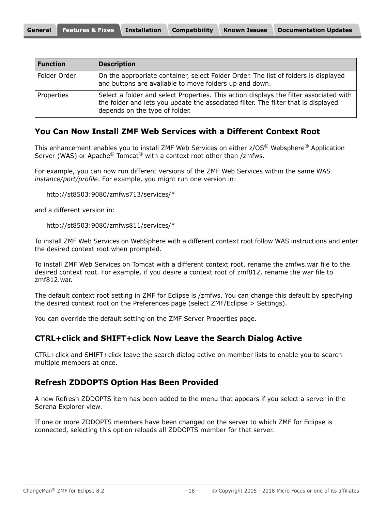| <b>Function</b> | <b>Description</b>                                                                                                                                                                                             |
|-----------------|----------------------------------------------------------------------------------------------------------------------------------------------------------------------------------------------------------------|
| Folder Order    | On the appropriate container, select Folder Order. The list of folders is displayed<br>and buttons are available to move folders up and down.                                                                  |
| Properties      | Select a folder and select Properties. This action displays the filter associated with<br>the folder and lets you update the associated filter. The filter that is displayed<br>depends on the type of folder. |

#### **You Can Now Install ZMF Web Services with a Different Context Root**

This enhancement enables you to install ZMF Web Services on either z/OS® Websphere® Application Server (WAS) or Apache<sup>®</sup> Tomcat<sup>®</sup> with a context root other than /zmfws.

For example, you can now run different versions of the ZMF Web Services within the same WAS *instance/port/profile*. For example, you might run one version in:

http://st8503:9080/zmfws713/services/\*

and a different version in:

```
http://st8503:9080/zmfws811/services/*
```
To install ZMF Web Services on WebSphere with a different context root follow WAS instructions and enter the desired context root when prompted.

To install ZMF Web Services on Tomcat with a different context root, rename the zmfws.war file to the desired context root. For example, if you desire a context root of zmf812, rename the war file to zmf812.war.

The default context root setting in ZMF for Eclipse is /zmfws. You can change this default by specifying the desired context root on the Preferences page (select ZMF/Eclipse > Settings).

You can override the default setting on the ZMF Server Properties page.

#### **CTRL+click and SHIFT+click Now Leave the Search Dialog Active**

CTRL+click and SHIFT+click leave the search dialog active on member lists to enable you to search multiple members at once.

#### **Refresh ZDDOPTS Option Has Been Provided**

A new Refresh ZDDOPTS item has been added to the menu that appears if you select a server in the Serena Explorer view.

If one or more ZDDOPTS members have been changed on the server to which ZMF for Eclipse is connected, selecting this option reloads all ZDDOPTS member for that server.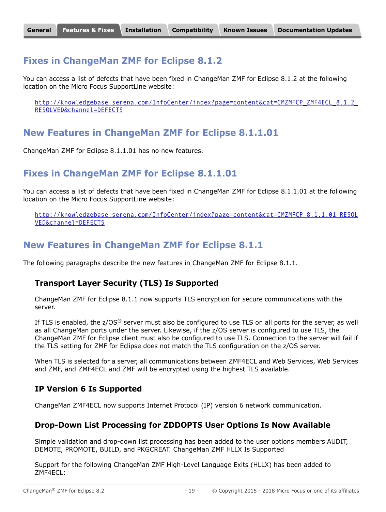## **Fixes in ChangeMan ZMF for Eclipse 8.1.2**

You can access a list of defects that have been fixed in ChangeMan ZMF for Eclipse 8.1.2 at the following location on the Micro Focus SupportLine website:

http://knowledgebase.serena.com/InfoCenter/index?page=content&cat=CMZMFCP\_ZMF4ECL\_8.1.2 RESOLVED&channel=DEFECTS

## **New Features in ChangeMan ZMF for Eclipse 8.1.1.01**

ChangeMan ZMF for Eclipse 8.1.1.01 has no new features.

# **Fixes in ChangeMan ZMF for Eclipse 8.1.1.01**

You can access a list of defects that have been fixed in ChangeMan ZMF for Eclipse 8.1.1.01 at the following location on the Micro Focus SupportLine website:

[http://knowledgebase.serena.com/InfoCenter/index?page=content&cat=CMZMFCP\\_8.1.1.01\\_RESOL](http://knowledgebase.serena.com/InfoCenter/index?page=content&cat=CMZMFCP_8.1.1.01_RESOLVED&channel=DEFECTS) VED&channel=DEFECTS

### **New Features in ChangeMan ZMF for Eclipse 8.1.1**

The following paragraphs describe the new features in ChangeMan ZMF for Eclipse 8.1.1.

#### **Transport Layer Security (TLS) Is Supported**

ChangeMan ZMF for Eclipse 8.1.1 now supports TLS encryption for secure communications with the server.

If TLS is enabled, the  $z/OS^{\circledast}$  server must also be configured to use TLS on all ports for the server, as well as all ChangeMan ports under the server. Likewise, if the z/OS server is configured to use TLS, the ChangeMan ZMF for Eclipse client must also be configured to use TLS. Connection to the server will fail if the TLS setting for ZMF for Eclipse does not match the TLS configuration on the z/OS server.

When TLS is selected for a server, all communications between ZMF4ECL and Web Services, Web Services and ZMF, and ZMF4ECL and ZMF will be encrypted using the highest TLS available.

#### **IP Version 6 Is Supported**

ChangeMan ZMF4ECL now supports Internet Protocol (IP) version 6 network communication.

#### **Drop-Down List Processing for ZDDOPTS User Options Is Now Available**

Simple validation and drop-down list processing has been added to the user options members AUDIT, DEMOTE, PROMOTE, BUILD, and PKGCREAT. ChangeMan ZMF HLLX Is Supported

Support for the following ChangeMan ZMF High-Level Language Exits (HLLX) has been added to ZMF4ECL: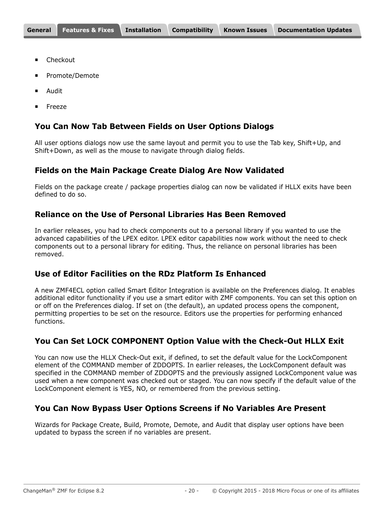- Checkout
- Promote/Demote
- Audit
- Freeze

#### **You Can Now Tab Between Fields on User Options Dialogs**

All user options dialogs now use the same layout and permit you to use the Tab key, Shift+Up, and Shift+Down, as well as the mouse to navigate through dialog fields.

#### **Fields on the Main Package Create Dialog Are Now Validated**

Fields on the package create / package properties dialog can now be validated if HLLX exits have been defined to do so.

#### **Reliance on the Use of Personal Libraries Has Been Removed**

In earlier releases, you had to check components out to a personal library if you wanted to use the advanced capabilities of the LPEX editor. LPEX editor capabilities now work without the need to check components out to a personal library for editing. Thus, the reliance on personal libraries has been removed.

#### **Use of Editor Facilities on the RDz Platform Is Enhanced**

A new ZMF4ECL option called Smart Editor Integration is available on the Preferences dialog. It enables additional editor functionality if you use a smart editor with ZMF components. You can set this option on or off on the Preferences dialog. If set on (the default), an updated process opens the component, permitting properties to be set on the resource. Editors use the properties for performing enhanced functions.

#### **You Can Set LOCK COMPONENT Option Value with the Check-Out HLLX Exit**

You can now use the HLLX Check-Out exit, if defined, to set the default value for the LockComponent element of the COMMAND member of ZDDOPTS. In earlier releases, the LockComponent default was specified in the COMMAND member of ZDDOPTS and the previously assigned LockComponent value was used when a new component was checked out or staged. You can now specify if the default value of the LockComponent element is YES, NO, or remembered from the previous setting.

#### **You Can Now Bypass User Options Screens if No Variables Are Present**

Wizards for Package Create, Build, Promote, Demote, and Audit that display user options have been updated to bypass the screen if no variables are present.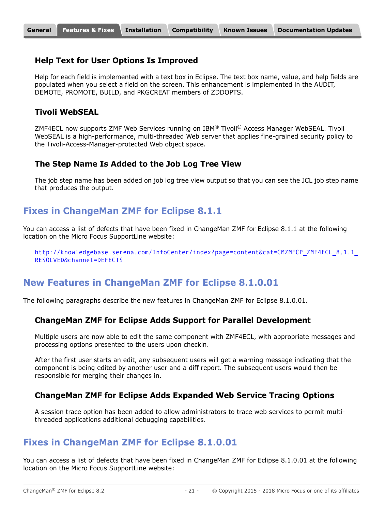#### **Help Text for User Options Is Improved**

Help for each field is implemented with a text box in Eclipse. The text box name, value, and help fields are populated when you select a field on the screen. This enhancement is implemented in the AUDIT, DEMOTE, PROMOTE, BUILD, and PKGCREAT members of ZDDOPTS.

#### **Tivoli WebSEAL**

ZMF4ECL now supports ZMF Web Services running on IBM® Tivoli® Access Manager WebSEAL. Tivoli WebSEAL is a high-performance, multi-threaded Web server that applies fine-grained security policy to the Tivoli-Access-Manager-protected Web object space.

#### **The Step Name Is Added to the Job Log Tree View**

The job step name has been added on job log tree view output so that you can see the JCL job step name that produces the output.

## **Fixes in ChangeMan ZMF for Eclipse 8.1.1**

You can access a list of defects that have been fixed in ChangeMan ZMF for Eclipse 8.1.1 at the following location on the Micro Focus SupportLine website:

http://knowledgebase.serena.com/InfoCenter/index?page=content&cat=CMZMFCP\_ZMF4ECL\_8.1.1 RESOLVED&channel=DEFECTS

# **New Features in ChangeMan ZMF for Eclipse 8.1.0.01**

The following paragraphs describe the new features in ChangeMan ZMF for Eclipse 8.1.0.01.

#### **ChangeMan ZMF for Eclipse Adds Support for Parallel Development**

Multiple users are now able to edit the same component with ZMF4ECL, with appropriate messages and processing options presented to the users upon checkin.

After the first user starts an edit, any subsequent users will get a warning message indicating that the component is being edited by another user and a diff report. The subsequent users would then be responsible for merging their changes in.

#### **ChangeMan ZMF for Eclipse Adds Expanded Web Service Tracing Options**

A session trace option has been added to allow administrators to trace web services to permit multithreaded applications additional debugging capabilities.

### **Fixes in ChangeMan ZMF for Eclipse 8.1.0.01**

You can access a list of defects that have been fixed in ChangeMan ZMF for Eclipse 8.1.0.01 at the following location on the Micro Focus SupportLine website: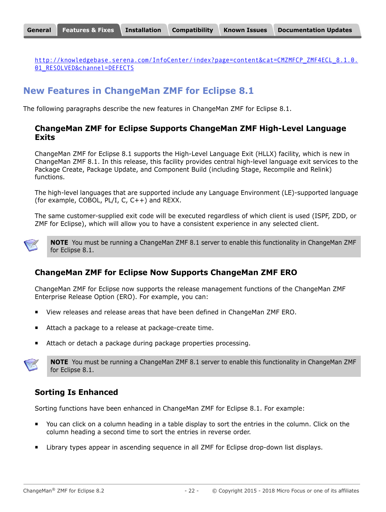[http://knowledgebase.serena.com/InfoCenter/index?page=content&cat=CMZMFCP\\_ZMF4ECL\\_8.1.0.](http://knowledgebase.serena.com/InfoCenter/index?page=content&cat=CMZMFCP_ZMF4ECL_8.1.0.01_RESOLVED&channel=DEFECTS) 01 RESOLVED&channel=DEFECTS

# **New Features in ChangeMan ZMF for Eclipse 8.1**

The following paragraphs describe the new features in ChangeMan ZMF for Eclipse 8.1.

#### **ChangeMan ZMF for Eclipse Supports ChangeMan ZMF High-Level Language Exits**

ChangeMan ZMF for Eclipse 8.1 supports the High-Level Language Exit (HLLX) facility, which is new in ChangeMan ZMF 8.1. In this release, this facility provides central high-level language exit services to the Package Create, Package Update, and Component Build (including Stage, Recompile and Relink) functions.

The high-level languages that are supported include any Language Environment (LE)-supported language (for example, COBOL, PL/I, C, C++) and REXX.

The same customer-supplied exit code will be executed regardless of which client is used (ISPF, ZDD, or ZMF for Eclipse), which will allow you to have a consistent experience in any selected client.



**NOTE** You must be running a ChangeMan ZMF 8.1 server to enable this functionality in ChangeMan ZMF for Eclipse 8.1.

### **ChangeMan ZMF for Eclipse Now Supports ChangeMan ZMF ERO**

ChangeMan ZMF for Eclipse now supports the release management functions of the ChangeMan ZMF Enterprise Release Option (ERO). For example, you can:

- View releases and release areas that have been defined in ChangeMan ZMF ERO.
- Attach a package to a release at package-create time.
- Attach or detach a package during package properties processing.



**NOTE** You must be running a ChangeMan ZMF 8.1 server to enable this functionality in ChangeMan ZMF for Eclipse 8.1.

### **Sorting Is Enhanced**

Sorting functions have been enhanced in ChangeMan ZMF for Eclipse 8.1. For example:

- You can click on a column heading in a table display to sort the entries in the column. Click on the column heading a second time to sort the entries in reverse order.
- Library types appear in ascending sequence in all ZMF for Eclipse drop-down list displays.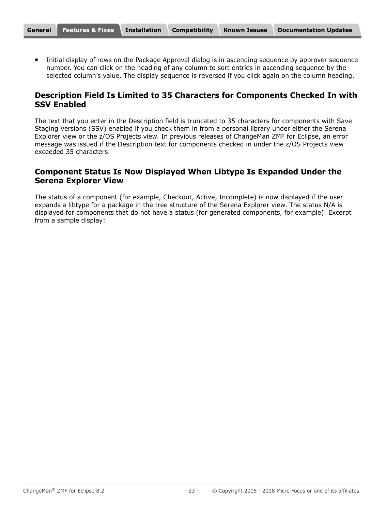Initial display of rows on the Package Approval dialog is in ascending sequence by approver sequence number. You can click on the heading of any column to sort entries in ascending sequence by the selected column's value. The display sequence is reversed if you click again on the column heading.

#### **Description Field Is Limited to 35 Characters for Components Checked In with SSV Enabled**

The text that you enter in the Description field is truncated to 35 characters for components with Save Staging Versions (SSV) enabled if you check them in from a personal library under either the Serena Explorer view or the z/OS Projects view. In previous releases of ChangeMan ZMF for Eclipse, an error message was issued if the Description text for components checked in under the z/OS Projects view exceeded 35 characters.

#### **Component Status Is Now Displayed When Libtype Is Expanded Under the Serena Explorer View**

The status of a component (for example, Checkout, Active, Incomplete) is now displayed if the user expands a libtype for a package in the tree structure of the Serena Explorer view. The status N/A is displayed for components that do not have a status (for generated components, for example). Excerpt from a sample display: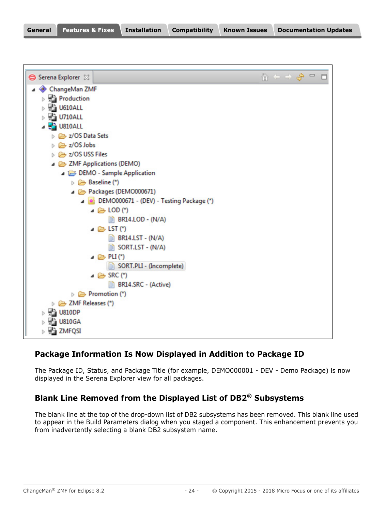| General | Features & Fixes Installation |  | <b>Compatibility</b> | <b>Known Issues</b> | <b>Documentation Updates</b> |
|---------|-------------------------------|--|----------------------|---------------------|------------------------------|
|---------|-------------------------------|--|----------------------|---------------------|------------------------------|

| Serena Explorer 23                                 |                                                   |  | $\mathbf{u}^{\mathbf{a}}$ |  |  |
|----------------------------------------------------|---------------------------------------------------|--|---------------------------|--|--|
| ChangeMan ZMF                                      |                                                   |  |                           |  |  |
| <b>Production</b>                                  |                                                   |  |                           |  |  |
| $\triangleright$ $\frac{1}{2}$ U610ALL             |                                                   |  |                           |  |  |
| $\triangleright$ $\frac{\square}{\square}$ U710ALL |                                                   |  |                           |  |  |
| $\frac{1}{2}$ U810ALL                              |                                                   |  |                           |  |  |
| ▷ 2/OS Data Sets                                   |                                                   |  |                           |  |  |
| ▷ <del></del> z/OS Jobs                            |                                                   |  |                           |  |  |
| $\triangleright$ $\triangleright$ z/OS USS Files   |                                                   |  |                           |  |  |
| ▲ 2MF Applications (DEMO)                          |                                                   |  |                           |  |  |
|                                                    | DEMO - Sample Application                         |  |                           |  |  |
| $\triangleright \implies$ Baseline (*)             |                                                   |  |                           |  |  |
|                                                    | Packages (DEMO000671)                             |  |                           |  |  |
|                                                    | DEMO000671 - (DEV) - Testing Package (*)          |  |                           |  |  |
|                                                    | $\triangle$ LOD (*)                               |  |                           |  |  |
|                                                    | <b>BR14.LOD - (N/A)</b>                           |  |                           |  |  |
|                                                    | $\triangle$ LST (*)                               |  |                           |  |  |
|                                                    | $\Rightarrow$ BR14.LST - (N/A)                    |  |                           |  |  |
|                                                    | SORT.LST - (N/A)                                  |  |                           |  |  |
|                                                    | $\triangle$ PLI(*)                                |  |                           |  |  |
|                                                    | SORT.PLI - (Incomplete)                           |  |                           |  |  |
|                                                    | $\triangle$ SRC (*)<br><b>BR14.SRC - (Active)</b> |  |                           |  |  |
| $\triangleright$ $\triangleright$ Promotion (*)    |                                                   |  |                           |  |  |
| DE ZMF Releases (*)                                |                                                   |  |                           |  |  |
| $\triangleright$ $\frac{1}{2}$ U810DP              |                                                   |  |                           |  |  |
| $\triangleright$ $\frac{1}{2}$ U810GA              |                                                   |  |                           |  |  |
| $\triangleright$ $\frac{1}{2}$ ZMFQSI              |                                                   |  |                           |  |  |
|                                                    |                                                   |  |                           |  |  |

## **Package Information Is Now Displayed in Addition to Package ID**

The Package ID, Status, and Package Title (for example, DEMO000001 - DEV - Demo Package) is now displayed in the Serena Explorer view for all packages.

# **Blank Line Removed from the Displayed List of DB2® Subsystems**

The blank line at the top of the drop-down list of DB2 subsystems has been removed. This blank line used to appear in the Build Parameters dialog when you staged a component. This enhancement prevents you from inadvertently selecting a blank DB2 subsystem name.

٦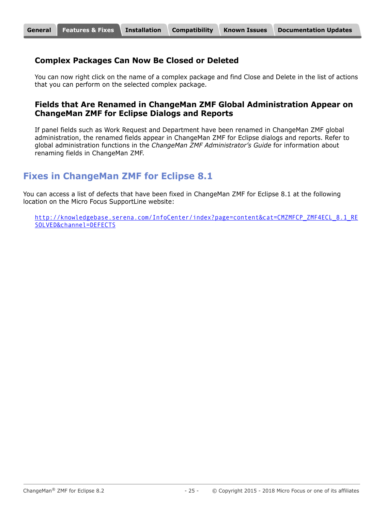#### **Complex Packages Can Now Be Closed or Deleted**

You can now right click on the name of a complex package and find Close and Delete in the list of actions that you can perform on the selected complex package.

#### **Fields that Are Renamed in ChangeMan ZMF Global Administration Appear on ChangeMan ZMF for Eclipse Dialogs and Reports**

If panel fields such as Work Request and Department have been renamed in ChangeMan ZMF global administration, the renamed fields appear in ChangeMan ZMF for Eclipse dialogs and reports. Refer to global administration functions in the *ChangeMan ZMF Administrator's Guide* for information about renaming fields in ChangeMan ZMF.

# **Fixes in ChangeMan ZMF for Eclipse 8.1**

You can access a list of defects that have been fixed in ChangeMan ZMF for Eclipse 8.1 at the following location on the Micro Focus SupportLine website:

[http://knowledgebase.serena.com/InfoCenter/index?page=content&cat=CMZMFCP\\_ZMF4ECL\\_8.1\\_RE](http://knowledgebase.serena.com/InfoCenter/index?page=content&cat=CMZMFCP_ZMF4ECL_8.1_RESOLVED&channel=DEFECTS) [SOLVED&channel=DEFECTS](http://knowledgebase.serena.com/InfoCenter/index?page=content&cat=CMZMFCP_ZMF4ECL_8.1_RESOLVED&channel=DEFECTS)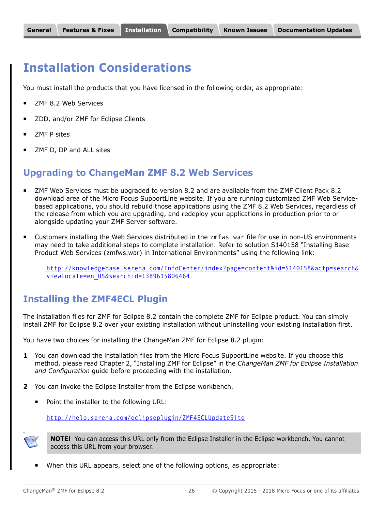# <span id="page-25-1"></span><span id="page-25-0"></span>**Installation Considerations**

You must install the products that you have licensed in the following order, as appropriate:

- ZMF 8.2 Web Services
- ZDD, and/or ZMF for Eclipse Clients
- ZMF P sites
- ZMF D, DP and ALL sites

# **Upgrading to ChangeMan ZMF 8.2 Web Services**

- ZMF Web Services must be upgraded to version 8.2 and are available from the ZMF Client Pack 8.2 download area of the Micro Focus SupportLine website. If you are running customized ZMF Web Servicebased applications, you should rebuild those applications using the ZMF 8.2 Web Services, regardless of the release from which you are upgrading, and redeploy your applications in production prior to or alongside updating your ZMF Server software.
- Customers installing the Web Services distributed in the zmfws.war file for use in non-US environments may need to take additional steps to complete installation. Refer to solution S140158 "Installing Base Product Web Services (zmfws.war) in International Environments" using the following link:

[http://knowledgebase.serena.com/InfoCenter/index?page=content&id=S140158&actp=search&](http://knowledgebase.serena.com/InfoCenter/index?page=content&id=S140158&actp=search&viewlocale=en_US&searchid=1389615806464) viewlocale=en\_US&searchid=1389615806464

# **Installing the ZMF4ECL Plugin**

The installation files for ZMF for Eclipse 8.2 contain the complete ZMF for Eclipse product. You can simply install ZMF for Eclipse 8.2 over your existing installation without uninstalling your existing installation first.

You have two choices for installing the ChangeMan ZMF for Eclipse 8.2 plugin:

- **1** You can download the installation files from the Micro Focus SupportLine website. If you choose this method, please read Chapter 2, "Installing ZMF for Eclipse" in the *ChangeMan ZMF for Eclipse Installation and Configuration* guide before proceeding with the installation.
- **2** You can invoke the Eclipse Installer from the Eclipse workbench.
	- Point the installer to the following URL:

<http://help.serena.com/eclipseplugin/ZMF4ECLUpdateSite>



You

**NOTE!** You can access this URL only from the Eclipse Installer in the Eclipse workbench. You cannot access this URL from your browser.

When this URL appears, select one of the following options, as appropriate: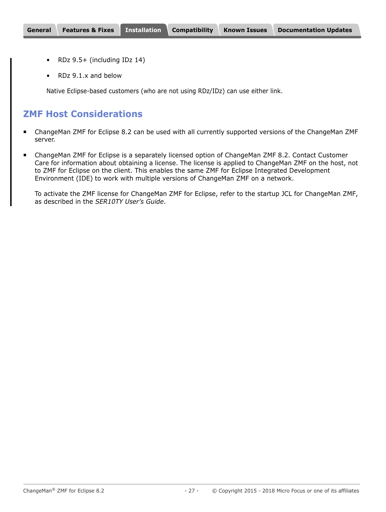- RDz 9.5+ (including IDz 14)
- RDz 9.1.x and below

Native Eclipse-based customers (who are not using RDz/IDz) can use either link.

## **ZMF Host Considerations**

- ChangeMan ZMF for Eclipse 8.2 can be used with all currently supported versions of the ChangeMan ZMF server.
- ChangeMan ZMF for Eclipse is a separately licensed option of ChangeMan ZMF 8.2. Contact Customer Care for information about obtaining a license. The license is applied to ChangeMan ZMF on the host, not to ZMF for Eclipse on the client. This enables the same ZMF for Eclipse Integrated Development Environment (IDE) to work with multiple versions of ChangeMan ZMF on a network.

To activate the ZMF license for ChangeMan ZMF for Eclipse, refer to the startup JCL for ChangeMan ZMF, as described in the *SER10TY User's Guide*.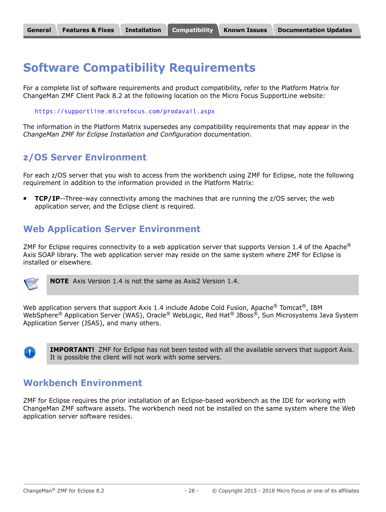# <span id="page-27-0"></span>**Software Compatibility Requirements**

For a complete list of software requirements and product compatibility, refer to the Platform Matrix for ChangeMan ZMF Client Pack 8.2 at the following location on the Micro Focus SupportLine website:

<https://supportline.microfocus.com/prodavail.aspx>

The information in the Platform Matrix supersedes any compatibility requirements that may appear in the *ChangeMan ZMF for Eclipse Installation and Configuration* documentation.

# **z/OS Server Environment**

For each z/OS server that you wish to access from the workbench using ZMF for Eclipse, note the following requirement in addition to the information provided in the Platform Matrix:

**TCP/IP**--Three-way connectivity among the machines that are running the z/OS server, the web application server, and the Eclipse client is required.

# **Web Application Server Environment**

ZMF for Eclipse requires connectivity to a web application server that supports Version 1.4 of the Apache<sup>®</sup> Axis SOAP library. The web application server may reside on the same system where ZMF for Eclipse is installed or elsewhere.



**NOTE** Axis Version 1.4 is not the same as Axis2 Version 1.4.

Web application servers that support Axis 1.4 include Adobe Cold Fusion, Apache $^{\circledR}$  Tomcat $^{\circledR}$ , IBM WebSphere® Application Server (WAS), Oracle® WebLogic, Red Hat® JBoss®, Sun Microsystems Java System Application Server (JSAS), and many others.



**IMPORTANT!** ZMF for Eclipse has not been tested with all the available servers that support Axis. It is possible the client will not work with some servers.

## **Workbench Environment**

ZMF for Eclipse requires the prior installation of an Eclipse-based workbench as the IDE for working with ChangeMan ZMF software assets. The workbench need not be installed on the same system where the Web application server software resides.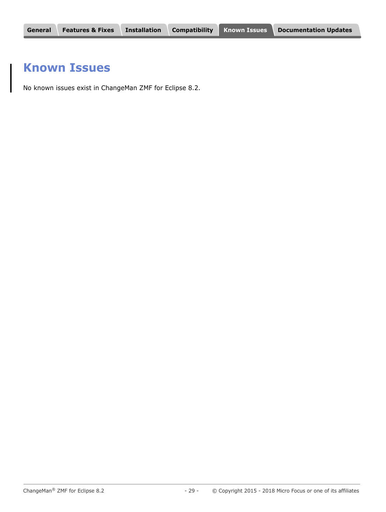# <span id="page-28-0"></span>**Known Issues**

No known issues exist in ChangeMan ZMF for Eclipse 8.2.